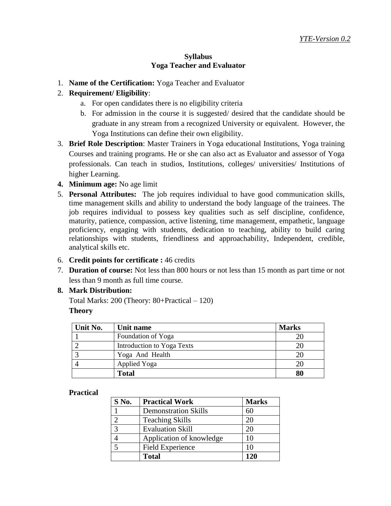## **Syllabus Yoga Teacher and Evaluator**

1. **Name of the Certification:** Yoga Teacher and Evaluator

# 2. **Requirement/ Eligibility**:

- a. For open candidates there is no eligibility criteria
- b. For admission in the course it is suggested/ desired that the candidate should be graduate in any stream from a recognized University or equivalent. However, the Yoga Institutions can define their own eligibility.
- 3. **Brief Role Description**: Master Trainers in Yoga educational Institutions, Yoga training Courses and training programs. He or she can also act as Evaluator and assessor of Yoga professionals. Can teach in studios, Institutions, colleges/ universities/ Institutions of higher Learning.
- **4. Minimum age:** No age limit
- 5. **Personal Attributes:** The job requires individual to have good communication skills, time management skills and ability to understand the body language of the trainees. The job requires individual to possess key qualities such as self discipline, confidence, maturity, patience, compassion, active listening, time management, empathetic, language proficiency, engaging with students, dedication to teaching, ability to build caring relationships with students, friendliness and approachability, Independent, credible, analytical skills etc.
- 6. **Credit points for certificate :** 46 credits
- 7. **Duration of course:** Not less than 800 hours or not less than 15 month as part time or not less than 9 month as full time course.

#### **8. Mark Distribution:**

Total Marks: 200 (Theory: 80+Practical – 120) **Theory**

| Unit No. | Unit name                  | <b>Marks</b> |
|----------|----------------------------|--------------|
|          | Foundation of Yoga         |              |
|          | Introduction to Yoga Texts |              |
|          | Yoga And Health            |              |
|          | <b>Applied Yoga</b>        |              |
|          | <b>Total</b>               | 80           |

#### **Practical**

| S No.        | <b>Practical Work</b>       | <b>Marks</b> |
|--------------|-----------------------------|--------------|
|              | <b>Demonstration Skills</b> | 60           |
|              | <b>Teaching Skills</b>      | 20           |
| $\mathbf{c}$ | <b>Evaluation Skill</b>     | 20           |
|              | Application of knowledge    | 10           |
|              | Field Experience            | 10           |
|              | <b>Total</b>                | 120          |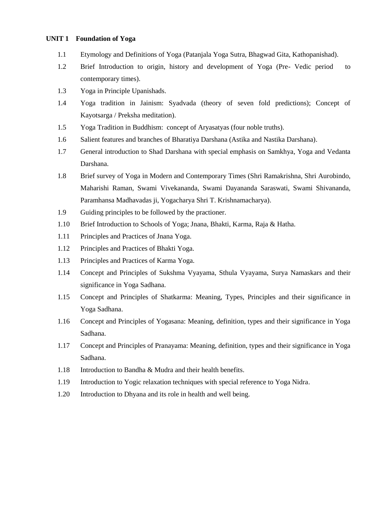#### **UNIT 1 Foundation of Yoga**

- 1.1 Etymology and Definitions of Yoga (Patanjala Yoga Sutra, Bhagwad Gita, Kathopanishad).
- 1.2 Brief Introduction to origin, history and development of Yoga (Pre- Vedic period to contemporary times).
- 1.3 Yoga in Principle Upanishads.
- 1.4 Yoga tradition in Jainism: Syadvada (theory of seven fold predictions); Concept of Kayotsarga / Preksha meditation).
- 1.5 Yoga Tradition in Buddhism: concept of Aryasatyas (four noble truths).
- 1.6 Salient features and branches of Bharatiya Darshana (Astika and Nastika Darshana).
- 1.7 General introduction to Shad Darshana with special emphasis on Samkhya, Yoga and Vedanta Darshana.
- 1.8 Brief survey of Yoga in Modern and Contemporary Times (Shri Ramakrishna, Shri Aurobindo, Maharishi Raman, Swami Vivekananda, Swami Dayananda Saraswati, Swami Shivananda, Paramhansa Madhavadas ji, Yogacharya Shri T. Krishnamacharya).
- 1.9 Guiding principles to be followed by the practioner.
- 1.10 Brief Introduction to Schools of Yoga; Jnana, Bhakti, Karma, Raja & Hatha.
- 1.11 Principles and Practices of Jnana Yoga.
- 1.12 Principles and Practices of Bhakti Yoga.
- 1.13 Principles and Practices of Karma Yoga.
- 1.14 Concept and Principles of Sukshma Vyayama, Sthula Vyayama, Surya Namaskars and their significance in Yoga Sadhana.
- 1.15 Concept and Principles of Shatkarma: Meaning, Types, Principles and their significance in Yoga Sadhana.
- 1.16 Concept and Principles of Yogasana: Meaning, definition, types and their significance in Yoga Sadhana.
- 1.17 Concept and Principles of Pranayama: Meaning, definition, types and their significance in Yoga Sadhana.
- 1.18 Introduction to Bandha & Mudra and their health benefits.
- 1.19 Introduction to Yogic relaxation techniques with special reference to Yoga Nidra.
- 1.20 Introduction to Dhyana and its role in health and well being.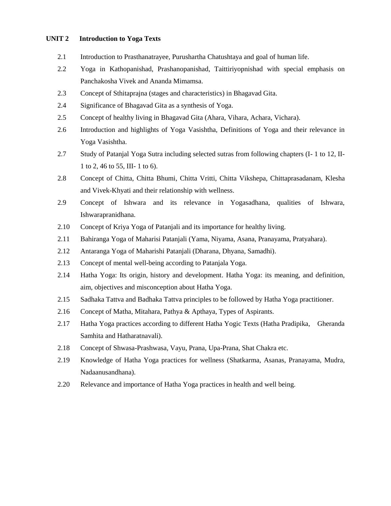#### **UNIT 2 Introduction to Yoga Texts**

- 2.1 Introduction to Prasthanatrayee, Purushartha Chatushtaya and goal of human life.
- 2.2 Yoga in Kathopanishad, Prashanopanishad, Taittiriyopnishad with special emphasis on Panchakosha Vivek and Ananda Mimamsa.
- 2.3 Concept of Sthitaprajna (stages and characteristics) in Bhagavad Gita.
- 2.4 Significance of Bhagavad Gita as a synthesis of Yoga.
- 2.5 Concept of healthy living in Bhagavad Gita (Ahara, Vihara, Achara, Vichara).
- 2.6 Introduction and highlights of Yoga Vasishtha, Definitions of Yoga and their relevance in Yoga Vasishtha.
- 2.7 Study of Patanjal Yoga Sutra including selected sutras from following chapters (I- 1 to 12, II-1 to 2, 46 to 55, III- 1 to 6).
- 2.8 Concept of Chitta, Chitta Bhumi, Chitta Vritti, Chitta Vikshepa, Chittaprasadanam, Klesha and Vivek-Khyati and their relationship with wellness.
- 2.9 Concept of Ishwara and its relevance in Yogasadhana, qualities of Ishwara, Ishwarapranidhana.
- 2.10 Concept of Kriya Yoga of Patanjali and its importance for healthy living.
- 2.11 Bahiranga Yoga of Maharisi Patanjali (Yama, Niyama, Asana, Pranayama, Pratyahara).
- 2.12 Antaranga Yoga of Maharishi Patanjali (Dharana, Dhyana, Samadhi).
- 2.13 Concept of mental well-being according to Patanjala Yoga.
- 2.14 Hatha Yoga: Its origin, history and development. Hatha Yoga: its meaning, and definition, aim, objectives and misconception about Hatha Yoga.
- 2.15 Sadhaka Tattva and Badhaka Tattva principles to be followed by Hatha Yoga practitioner.
- 2.16 Concept of Matha, Mitahara, Pathya & Apthaya, Types of Aspirants.
- 2.17 Hatha Yoga practices according to different Hatha Yogic Texts (Hatha Pradipika, Gheranda Samhita and Hatharatnavali).
- 2.18 Concept of Shwasa-Prashwasa, Vayu, Prana, Upa-Prana, Shat Chakra etc.
- 2.19 Knowledge of Hatha Yoga practices for wellness (Shatkarma, Asanas, Pranayama, Mudra, Nadaanusandhana).
- 2.20 Relevance and importance of Hatha Yoga practices in health and well being.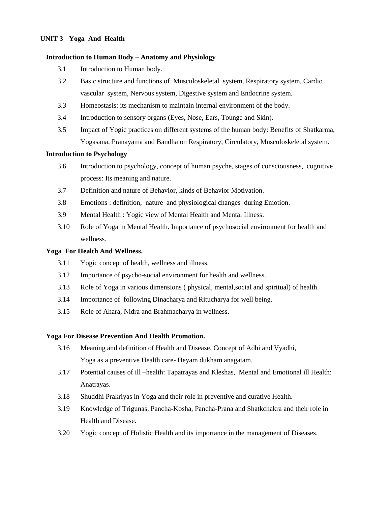#### **UNIT 3 Yoga And Health**

#### **Introduction to Human Body – Anatomy and Physiology**

- 3.1 Introduction to Human body.
- 3.2 Basic structure and functions of Musculoskeletal system, Respiratory system, Cardio vascular system, Nervous system, Digestive system and Endocrine system.
- 3.3 Homeostasis: its mechanism to maintain internal environment of the body.
- 3.4 Introduction to sensory organs (Eyes, Nose, Ears, Tounge and Skin).
- 3.5 Impact of Yogic practices on different systems of the human body: Benefits of Shatkarma, Yogasana, Pranayama and Bandha on Respiratory, Circulatory, Musculoskeletal system.

#### **Introduction to Psychology**

- 3.6 Introduction to psychology, concept of human psyche, stages of consciousness, cognitive process: Its meaning and nature.
- 3.7 Definition and nature of Behavior, kinds of Behavior Motivation.
- 3.8 Emotions : definition, nature and physiological changes during Emotion.
- 3.9 Mental Health : Yogic view of Mental Health and Mental Illness.
- 3.10 Role of Yoga in Mental Health. Importance of psychosocial environment for health and wellness.

#### **Yoga For Health And Wellness.**

- 3.11 Yogic concept of health, wellness and illness.
- 3.12 Importance of psycho-social environment for health and wellness.
- 3.13 Role of Yoga in various dimensions ( physical, mental,social and spiritual) of health.
- 3.14 Importance of following Dinacharya and Ritucharya for well being.
- 3.15 Role of Ahara, Nidra and Brahmacharya in wellness.

#### **Yoga For Disease Prevention And Health Promotion.**

- 3.16 Meaning and definition of Health and Disease, Concept of Adhi and Vyadhi, Yoga as a preventive Health care- Heyam dukham anagatam.
- 3.17 Potential causes of ill –health: Tapatrayas and Kleshas, Mental and Emotional ill Health: Anatrayas.
- 3.18 Shuddhi Prakriyas in Yoga and their role in preventive and curative Health.
- 3.19 Knowledge of Trigunas, Pancha-Kosha, Pancha-Prana and Shatkchakra and their role in Health and Disease.
- 3.20 Yogic concept of Holistic Health and its importance in the management of Diseases.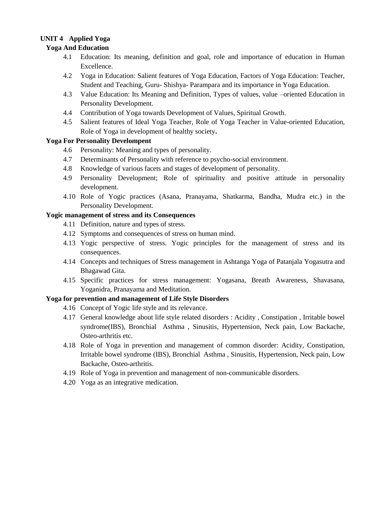# **UNIT 4 Applied Yoga**

#### **Yoga And Education**

- 4.1 Education: Its meaning, definition and goal, role and importance of education in Human Excellence.
- 4.2 Yoga in Education: Salient features of Yoga Education, Factors of Yoga Education: Teacher, Student and Teaching, Guru- Shishya- Parampara and its importance in Yoga Education.
- 4.3 Value Education: Its Meaning and Definition, Types of values, value –oriented Education in Personality Development.
- 4.4 Contribution of Yoga towards Development of Values, Spiritual Growth.
- 4.5 Salient features of Ideal Yoga Teacher, Role of Yoga Teacher in Value-oriented Education, Role of Yoga in development of healthy society**.**

#### **Yoga For Personality Develompent**

- 4.6 Personality: Meaning and types of personality.
- 4.7 Determinants of Personality with reference to psycho-social environment.
- 4.8 Knowledge of various facets and stages of development of personality.
- 4.9 Personality Development; Role of spirituality and positive attitude in personality development.
- 4.10 Role of Yogic practices (Asana, Pranayama, Shatkarma, Bandha, Mudra etc.) in the Personality Development.

#### **Yogic management of stress and its Consequences**

- 4.11 Definition, nature and types of stress.
- 4.12 Symptoms and consequences of stress on human mind.
- 4.13 Yogic perspective of stress. Yogic principles for the management of stress and its consequences.
- 4.14 Concepts and techniques of Stress management in Ashtanga Yoga of Patanjala Yogasutra and Bhagawad Gita.
- 4.15 Specific practices for stress management: Yogasana, Breath Awareness, Shavasana, Yoganidra, Pranayama and Meditation.

#### **Yoga for prevention and management of Life Style Disorders**

- 4.16 Concept of Yogic life style and its relevance.
- 4.17 General knowledge about life style related disorders : Acidity , Constipation , Irritable bowel syndrome(IBS), Bronchial Asthma , Sinusitis, Hypertension, Neck pain, Low Backache, Osteo-arthritis etc.
- 4.18 Role of Yoga in prevention and management of common disorder: Acidity, Constipation, Irritable bowel syndrome (IBS), Bronchial Asthma , Sinusitis, Hypertension, Neck pain, Low Backache, Osteo-arthritis.
- 4.19 Role of Yoga in prevention and management of non-communicable disorders.
- 4.20 Yoga as an integrative medication.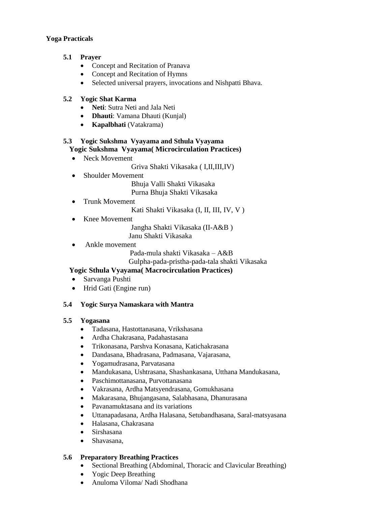#### **Yoga Practicals**

#### **5.1 Prayer**

- Concept and Recitation of Pranava
- Concept and Recitation of Hymns
- Selected universal prayers, invocations and Nishpatti Bhava.

#### **5.2 Yogic Shat Karma**

- **Neti**: Sutra Neti and Jala Neti
- **Dhauti**: Vamana Dhauti (Kunjal)
- **Kapalbhati** (Vatakrama)

#### **5.3 Yogic Sukshma Vyayama and Sthula Vyayama Yogic Sukshma Vyayama( Microcirculation Practices)**

- Neck Movement
	- Griva Shakti Vikasaka ( I,II,III,IV)
- Shoulder Movement

 Bhuja Valli Shakti Vikasaka Purna Bhuja Shakti Vikasaka

- Trunk Movement
	- Kati Shakti Vikasaka (I, II, III, IV, V )
- Knee Movement

 Jangha Shakti Vikasaka (II-A&B ) Janu Shakti Vikasaka

Ankle movement

Pada-mula shakti Vikasaka – A&B

Gulpha-pada-pristha-pada-tala shakti Vikasaka

# **Yogic Sthula Vyayama( Macrocirculation Practices)**

- Sarvanga Pushti
- Hrid Gati (Engine run)

#### **5.4 Yogic Surya Namaskara with Mantra**

#### **5.5 Yogasana**

- Tadasana, Hastottanasana, Vrikshasana
- Ardha Chakrasana, Padahastasana
- Trikonasana, Parshva Konasana, Katichakrasana
- Dandasana, Bhadrasana, Padmasana, Vajarasana,
- Yogamudrasana, Parvatasana
- Mandukasana, Ushtrasana, Shashankasana, Utthana Mandukasana,
- Paschimottanasana, Purvottanasana
- Vakrasana, Ardha Matsyendrasana, Gomukhasana
- Makarasana, Bhujangasana, Salabhasana, Dhanurasana
- Pavanamuktasana and its variations
- Uttanapadasana, Ardha Halasana, Setubandhasana, Saral-matsyasana
- Halasana, Chakrasana
- Sirshasana
- Shavasana,

#### **5.6 Preparatory Breathing Practices**

- Sectional Breathing (Abdominal, Thoracic and Clavicular Breathing)
- Yogic Deep Breathing
- Anuloma Viloma/ Nadi Shodhana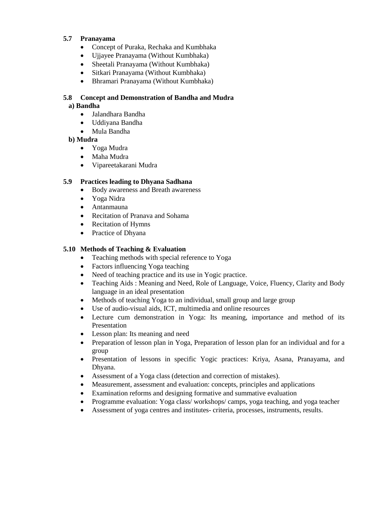#### **5.7 Pranayama**

- Concept of Puraka, Rechaka and Kumbhaka
- Ujjayee Pranayama (Without Kumbhaka)
- Sheetali Pranayama (Without Kumbhaka)
- Sitkari Pranayama (Without Kumbhaka)
- Bhramari Pranayama (Without Kumbhaka)

## **5.8 Concept and Demonstration of Bandha and Mudra**

#### **a) Bandha**

- Jalandhara Bandha
- Uddiyana Bandha
- Mula Bandha

#### **b) Mudra**

- Yoga Mudra
- Maha Mudra
- Vipareetakarani Mudra

#### **5.9 Practices leading to Dhyana Sadhana**

- Body awareness and Breath awareness
- Yoga Nidra
- Antanmauna
- Recitation of Pranava and Sohama
- Recitation of Hymns
- Practice of Dhyana

#### **5.10 Methods of Teaching & Evaluation**

- Teaching methods with special reference to Yoga
- Factors influencing Yoga teaching
- Need of teaching practice and its use in Yogic practice.
- Teaching Aids : Meaning and Need, Role of Language, Voice, Fluency, Clarity and Body language in an ideal presentation
- Methods of teaching Yoga to an individual, small group and large group
- Use of audio-visual aids, ICT, multimedia and online resources
- Lecture cum demonstration in Yoga: Its meaning, importance and method of its Presentation
- Lesson plan: Its meaning and need
- Preparation of lesson plan in Yoga, Preparation of lesson plan for an individual and for a group
- Presentation of lessons in specific Yogic practices: Kriya, Asana, Pranayama, and Dhyana.
- Assessment of a Yoga class (detection and correction of mistakes).
- Measurement, assessment and evaluation: concepts, principles and applications
- Examination reforms and designing formative and summative evaluation
- Programme evaluation: Yoga class/ workshops/ camps, yoga teaching, and yoga teacher
- Assessment of yoga centres and institutes- criteria, processes, instruments, results.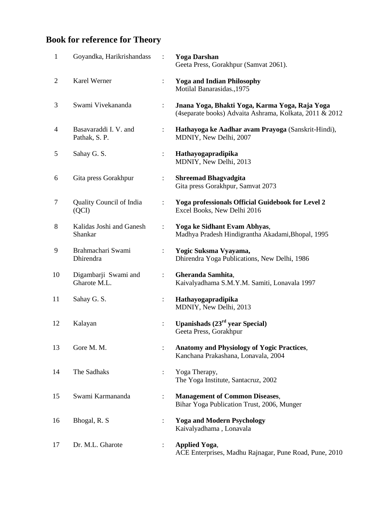# **Book for reference for Theory**

| $\mathbf{1}$   | Goyandka, Harikrishandass              |                      | <b>Yoga Darshan</b><br>Geeta Press, Gorakhpur (Samvat 2061).                                              |
|----------------|----------------------------------------|----------------------|-----------------------------------------------------------------------------------------------------------|
| $\overline{2}$ | Karel Werner                           | $\ddot{\cdot}$       | <b>Yoga and Indian Philosophy</b><br>Motilal Banarasidas., 1975                                           |
| 3              | Swami Vivekananda                      | ÷                    | Jnana Yoga, Bhakti Yoga, Karma Yoga, Raja Yoga<br>(4separate books) Advaita Ashrama, Kolkata, 2011 & 2012 |
| $\overline{4}$ | Basavaraddi I. V. and<br>Pathak, S. P. | $\ddot{\cdot}$       | Hathayoga ke Aadhar avam Prayoga (Sanskrit-Hindi),<br>MDNIY, New Delhi, 2007                              |
| 5              | Sahay G. S.                            | $\ddot{\cdot}$       | Hathayogapradipika<br>MDNIY, New Delhi, 2013                                                              |
| 6              | Gita press Gorakhpur                   | ÷                    | <b>Shreemad Bhagvadgita</b><br>Gita press Gorakhpur, Samvat 2073                                          |
| $\tau$         | Quality Council of India<br>(QCI)      |                      | Yoga professionals Official Guidebook for Level 2<br>Excel Books, New Delhi 2016                          |
| 8              | Kalidas Joshi and Ganesh<br>Shankar    | $\ddot{\cdot}$       | Yoga ke Sidhant Evam Abhyas,<br>Madhya Pradesh Hindigrantha Akadami, Bhopal, 1995                         |
| 9              | Brahmachari Swami<br>Dhirendra         | $\ddot{\cdot}$       | Yogic Suksma Vyayama,<br>Dhirendra Yoga Publications, New Delhi, 1986                                     |
| 10             | Digambarji Swami and<br>Gharote M.L.   | $\ddot{\cdot}$       | Gheranda Samhita,<br>Kaivalyadhama S.M.Y.M. Samiti, Lonavala 1997                                         |
| 11             | Sahay G. S.                            | $\ddot{\cdot}$       | Hathayogapradipika<br>MDNIY, New Delhi, 2013                                                              |
| 12             | Kalayan                                | $\ddot{\phantom{a}}$ | Upanishads $(23rd$ year Special)<br>Geeta Press, Gorakhpur                                                |
| 13             | Gore M. M.                             |                      | <b>Anatomy and Physiology of Yogic Practices,</b><br>Kanchana Prakashana, Lonavala, 2004                  |
| 14             | The Sadhaks                            | $\ddot{\phantom{a}}$ | Yoga Therapy,<br>The Yoga Institute, Santacruz, 2002                                                      |
| 15             | Swami Karmananda                       | ÷                    | <b>Management of Common Diseases,</b><br>Bihar Yoga Publication Trust, 2006, Munger                       |
| 16             | Bhogal, R. S                           |                      | <b>Yoga and Modern Psychology</b><br>Kaivalyadhama, Lonavala                                              |
| 17             | Dr. M.L. Gharote                       | ÷                    | <b>Applied Yoga,</b><br>ACE Enterprises, Madhu Rajnagar, Pune Road, Pune, 2010                            |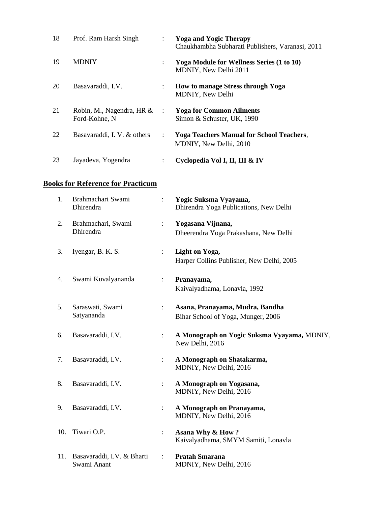| 18 | Prof. Ram Harsh Singh                      | $\ddot{\phantom{0}}$      | <b>Yoga and Yogic Therapy</b><br>Chaukhambha Subharati Publishers, Varanasi, 2011 |
|----|--------------------------------------------|---------------------------|-----------------------------------------------------------------------------------|
| 19 | <b>MDNIY</b>                               |                           | <b>Yoga Module for Wellness Series (1 to 10)</b><br>MDNIY, New Delhi 2011         |
| 20 | Basavaraddi, I.V.                          |                           | <b>How to manage Stress through Yoga</b><br>MDNIY, New Delhi                      |
| 21 | Robin, M., Nagendra, HR &<br>Ford-Kohne, N | $\sim$ 1.                 | <b>Yoga for Common Ailments</b><br>Simon & Schuster, UK, 1990                     |
| 22 | Basavaraddi, I.V. & others                 | $\mathbb{R}^{\mathbb{Z}}$ | <b>Yoga Teachers Manual for School Teachers,</b><br>MDNIY, New Delhi, 2010        |
| 23 | Jayadeva, Yogendra                         |                           | Cyclopedia Vol I, II, III & IV                                                    |

# **Books for Reference for Practicum**

| 1.  | Brahmachari Swami<br>Dhirendra            |                      | Yogic Suksma Vyayama,<br>Dhirendra Yoga Publications, New Delhi       |
|-----|-------------------------------------------|----------------------|-----------------------------------------------------------------------|
| 2.  | Brahmachari, Swami<br>Dhirendra           | $\ddot{\cdot}$       | Yogasana Vijnana,<br>Dheerendra Yoga Prakashana, New Delhi            |
| 3.  | Iyengar, B. K. S.                         |                      | Light on Yoga,<br>Harper Collins Publisher, New Delhi, 2005           |
| 4.  | Swami Kuvalyananda                        |                      | Pranayama,<br>Kaivalyadhama, Lonavla, 1992                            |
| 5.  | Saraswati, Swami<br>Satyananda            | $\ddot{\phantom{a}}$ | Asana, Pranayama, Mudra, Bandha<br>Bihar School of Yoga, Munger, 2006 |
| 6.  | Basavaraddi, I.V.                         | $\ddot{\cdot}$       | A Monograph on Yogic Suksma Vyayama, MDNIY,<br>New Delhi, 2016        |
| 7.  | Basavaraddi, I.V.                         |                      | A Monograph on Shatakarma,<br>MDNIY, New Delhi, 2016                  |
| 8.  | Basavaraddi, I.V.                         |                      | A Monograph on Yogasana,<br>MDNIY, New Delhi, 2016                    |
| 9.  | Basavaraddi, I.V.                         | $\ddot{\cdot}$       | A Monograph on Pranayama,<br>MDNIY, New Delhi, 2016                   |
| 10. | Tiwari O.P.                               | $\ddot{\phantom{a}}$ | Asana Why & How?<br>Kaivalyadhama, SMYM Samiti, Lonavla               |
| 11. | Basavaraddi, I.V. & Bharti<br>Swami Anant | $\ddot{\cdot}$       | <b>Pratah Smarana</b><br>MDNIY, New Delhi, 2016                       |